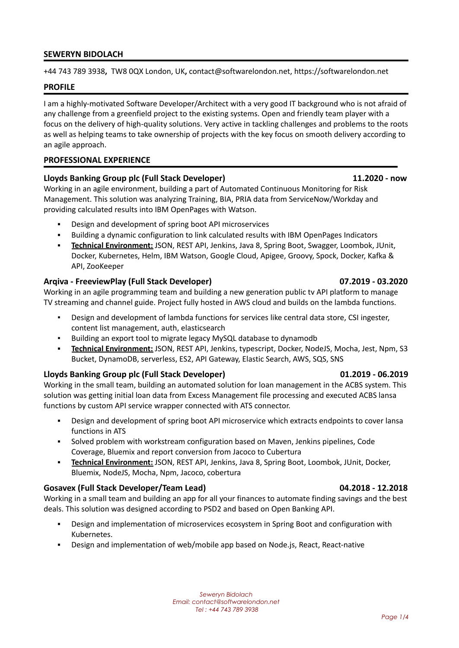### **SEWERYN BIDOLACH**

+44 743 789 3938**,** TW8 0QX London, UK**,** contact@softwarelondon.net, https://softwarelondon.net

### **PROFILE**

I am a highly-motivated Software Developer/Architect with a very good IT background who is not afraid of any challenge from a greenfield project to the existing systems. Open and friendly team player with a focus on the delivery of high-quality solutions. Very active in tackling challenges and problems to the roots as well as helping teams to take ownership of projects with the key focus on smooth delivery according to an agile approach.

### **PROFESSIONAL EXPERIENCE**

### **Lloyds Banking Group plc (Full Stack Developer) 11.2020 - now**

Working in an agile environment, building a part of Automated Continuous Monitoring for Risk Management. This solution was analyzing Training, BIA, PRIA data from ServiceNow/Workday and providing calculated results into IBM OpenPages with Watson.

- Design and development of spring boot API microservices
- Building a dynamic configuration to link calculated results with IBM OpenPages Indicators
- **Technical Environment:** JSON, REST API, Jenkins, Java 8, Spring Boot, Swagger, Loombok, JUnit, Docker, Kubernetes, Helm, IBM Watson, Google Cloud, Apigee, Groovy, Spock, Docker, Kafka & API, ZooKeeper

### **Arqiva - FreeviewPlay (Full Stack Developer) 07.2019 - 03.2020**

Working in an agile programming team and building a new generation public tv API platform to manage TV streaming and channel guide. Project fully hosted in AWS cloud and builds on the lambda functions.

- Design and development of lambda functions for services like central data store, CSI ingester, content list management, auth, elasticsearch
- Building an export tool to migrate legacy MySQL database to dynamodb
- **Technical Environment:** JSON, REST API, Jenkins, typescript, Docker, NodeJS, Mocha, Jest, Npm, S3 Bucket, DynamoDB, serverless, ES2, API Gateway, Elastic Search, AWS, SQS, SNS

### **Lloyds Banking Group plc (Full Stack Developer) 01.2019 - 06.2019**

Working in the small team, building an automated solution for loan management in the ACBS system. This solution was getting initial loan data from Excess Management file processing and executed ACBS lansa functions by custom API service wrapper connected with ATS connector.

- **•** Design and development of spring boot API microservice which extracts endpoints to cover lansa functions in ATS
- Solved problem with workstream configuration based on Maven, Jenkins pipelines, Code Coverage, Bluemix and report conversion from Jacoco to Cubertura
- **Technical Environment:** JSON, REST API, Jenkins, Java 8, Spring Boot, Loombok, JUnit, Docker, Bluemix, NodeJS, Mocha, Npm, Jacoco, cobertura

### **Gosavex (Full Stack Developer/Team Lead) 04.2018 - 12.2018**

Working in a small team and building an app for all your finances to automate finding savings and the best deals. This solution was designed according to PSD2 and based on Open Banking API.

- **•** Design and implementation of microservices ecosystem in Spring Boot and configuration with Kubernetes.
- Design and implementation of web/mobile app based on Node.js, React, React-native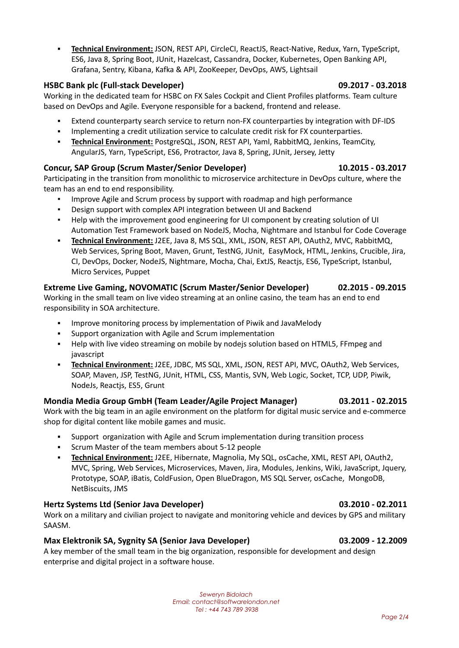▪ **Technical Environment:** JSON, REST API, CircleCI, ReactJS, React-Native, Redux, Yarn, TypeScript, ES6, Java 8, Spring Boot, JUnit, Hazelcast, Cassandra, Docker, Kubernetes, Open Banking API, Grafana, Sentry, Kibana, Kafka & API, ZooKeeper, DevOps, AWS, Lightsail

# **HSBC Bank plc (Full-stack Developer) 09.2017 - 03.2018**

Working in the dedicated team for HSBC on FX Sales Cockpit and Client Profiles platforms. Team culture based on DevOps and Agile. Everyone responsible for a backend, frontend and release.

- Extend counterparty search service to return non-FX counterparties by integration with DF-IDS
- **•** Implementing a credit utilization service to calculate credit risk for FX counterparties.
- **Technical Environment:** PostgreSQL, JSON, REST API, Yaml, RabbitMQ, Jenkins, TeamCity, AngularJS, Yarn, TypeScript, ES6, Protractor, Java 8, Spring, JUnit, Jersey, Jetty

# **Concur, SAP Group (Scrum Master/Senior Developer) 10.2015 - 03.2017**

Participating in the transition from monolithic to microservice architecture in DevOps culture, where the team has an end to end responsibility.

- Improve Agile and Scrum process by support with roadmap and high performance
- Design support with complex API integration between UI and Backend
- Help with the improvement good engineering for UI component by creating solution of UI Automation Test Framework based on NodeJS, Mocha, Nightmare and Istanbul for Code Coverage
- **Technical Environment:** J2EE, Java 8, MS SQL, XML, JSON, REST API, OAuth2, MVC, RabbitMQ, Web Services, Spring Boot, Maven, Grunt, TestNG, JUnit, EasyMock, HTML, Jenkins, Crucible, Jira, CI, DevOps, Docker, NodeJS, Nightmare, Mocha, Chai, ExtJS, Reactjs, ES6, TypeScript, Istanbul, Micro Services, Puppet

## **Extreme Live Gaming, NOVOMATIC (Scrum Master/Senior Developer) 02.2015 - 09.2015** Working in the small team on live video streaming at an online casino, the team has an end to end

responsibility in SOA architecture.

- Improve monitoring process by implementation of Piwik and JavaMelody
- Support organization with Agile and Scrum implementation
- Help with live video streaming on mobile by nodejs solution based on HTML5, FFmpeg and javascript
- **Technical Environment:** J2EE, JDBC, MS SQL, XML, JSON, REST API, MVC, OAuth2, Web Services, SOAP, Maven, JSP, TestNG, JUnit, HTML, CSS, Mantis, SVN, Web Logic, Socket, TCP, UDP, Piwik, NodeJs, Reactjs, ES5, Grunt

## **Mondia Media Group GmbH (Team Leader/Agile Project Manager) 03.2011 - 02.2015** Work with the big team in an agile environment on the platform for digital music service and e-commerce

shop for digital content like mobile games and music.

- Support organization with Agile and Scrum implementation during transition process
- Scrum Master of the team members about 5-12 people
- **Technical Environment:** J2EE, Hibernate, Magnolia, My SQL, osCache, XML, REST API, OAuth2, MVC, Spring, Web Services, Microservices, Maven, Jira, Modules, Jenkins, Wiki, JavaScript, Jquery, Prototype, SOAP, iBatis, ColdFusion, Open BlueDragon, MS SQL Server, osCache, MongoDB, NetBiscuits, JMS

# **Hertz Systems Ltd (Senior Java Developer) 03.2010 - 02.2011**

Work on a military and civilian project to navigate and monitoring vehicle and devices by GPS and military SAASM.

# **Max Elektronik SA, Sygnity SA (Senior Java Developer) 03.2009 - 12.2009**

A key member of the small team in the big organization, responsible for development and design enterprise and digital project in a software house.

> *Seweryn Bidolach Email: contact@softwarelondon.net Tel : +44 743 789 3938*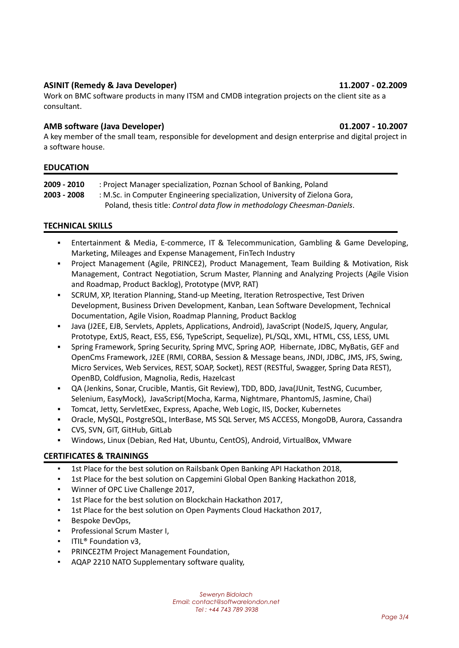## **ASINIT (Remedy & Java Developer) 11.2007 - 02.2009**

Work on BMC software products in many ITSM and CMDB integration projects on the client site as a consultant.

## **AMB software (Java Developer) 01.2007 - 10.2007**

A key member of the small team, responsible for development and design enterprise and digital project in a software house.

## **EDUCATION**

| 2009 - 2010 | : Project Manager specialization, Poznan School of Banking, Poland          |
|-------------|-----------------------------------------------------------------------------|
| 2003 - 2008 | : M.Sc. in Computer Engineering specialization, University of Zielona Gora, |
|             | Poland, thesis title: Control data flow in methodology Cheesman-Daniels.    |

## **TECHNICAL SKILLS**

- Entertainment & Media, E-commerce, IT & Telecommunication, Gambling & Game Developing, Marketing, Mileages and Expense Management, FinTech Industry
- Project Management (Agile, PRINCE2), Product Management, Team Building & Motivation, Risk Management, Contract Negotiation, Scrum Master, Planning and Analyzing Projects (Agile Vision and Roadmap, Product Backlog), Prototype (MVP, RAT)
- **SCRUM, XP, Iteration Planning, Stand-up Meeting, Iteration Retrospective, Test Driven** Development, Business Driven Development, Kanban, Lean Software Development, Technical Documentation, Agile Vision, Roadmap Planning, Product Backlog
- Java (J2EE, EJB, Servlets, Applets, Applications, Android), JavaScript (NodeJS, Jquery, Angular, Prototype, ExtJS, React, ES5, ES6, TypeScript, Sequelize), PL/SQL, XML, HTML, CSS, LESS, UML
- Spring Framework, Spring Security, Spring MVC, Spring AOP, Hibernate, JDBC, MyBatis, GEF and OpenCms Framework, J2EE (RMI, CORBA, Session & Message beans, JNDI, JDBC, JMS, JFS, Swing, Micro Services, Web Services, REST, SOAP, Socket), REST (RESTful, Swagger, Spring Data REST), OpenBD, Coldfusion, Magnolia, Redis, Hazelcast
- QA (Jenkins, Sonar, Crucible, Mantis, Git Review), TDD, BDD, Java(JUnit, TestNG, Cucumber, Selenium, EasyMock), JavaScript(Mocha, Karma, Nightmare, PhantomJS, Jasmine, Chai)
- Tomcat, Jetty, ServletExec, Express, Apache, Web Logic, IIS, Docker, Kubernetes
- Oracle, MySQL, PostgreSQL, InterBase, MS SQL Server, MS ACCESS, MongoDB, Aurora, Cassandra
- CVS, SVN, GIT, GitHub, GitLab
- Windows, Linux (Debian, Red Hat, Ubuntu, CentOS), Android, VirtualBox, VMware

## **CERTIFICATES & TRAININGS**

- 1st Place for the best solution on Railsbank Open Banking API Hackathon 2018,
- 1st Place for the best solution on Capgemini Global Open Banking Hackathon 2018,
- Winner of OPC Live Challenge 2017,
- 1st Place for the best solution on Blockchain Hackathon 2017,
- 1st Place for the best solution on Open Payments Cloud Hackathon 2017,
- Bespoke DevOps,
- Professional Scrum Master I,
- **·** ITIL<sup>®</sup> Foundation v3,
- PRINCE2TM Project Management Foundation,
- AQAP 2210 NATO Supplementary software quality,

*Seweryn Bidolach Email: contact@softwarelondon.net Tel : +44 743 789 3938*